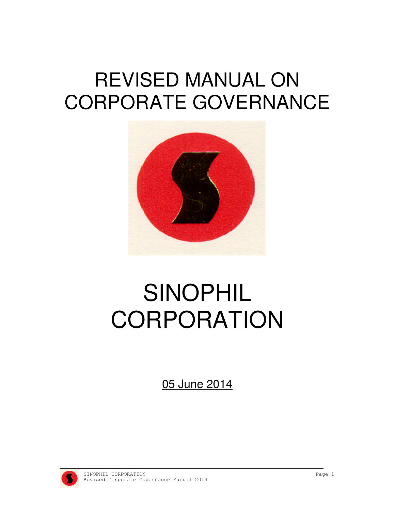## REVISED MANUAL ON CORPORATE GOVERNANCE



# SINOPHIL **CORPORATION**

05 June 2014

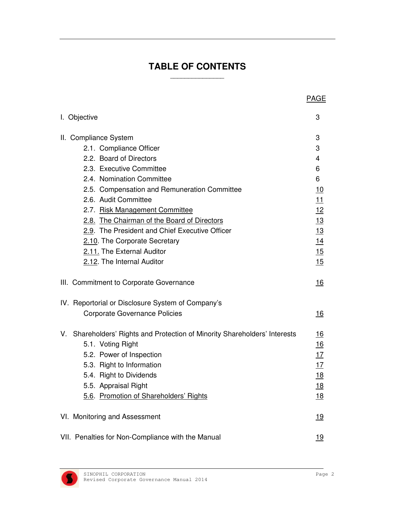#### **TABLE OF CONTENTS**  \_\_\_\_\_\_\_\_\_\_\_\_\_\_\_

|                                                                            | <b>PAGE</b> |
|----------------------------------------------------------------------------|-------------|
| I. Objective                                                               | 3           |
| II. Compliance System                                                      | 3           |
| 2.1. Compliance Officer                                                    | 3           |
| 2.2. Board of Directors                                                    | 4           |
| 2.3. Executive Committee                                                   | 6           |
| 2.4. Nomination Committee                                                  | 6           |
| 2.5. Compensation and Remuneration Committee                               | <u>10</u>   |
| 2.6. Audit Committee                                                       | <u> 11</u>  |
| 2.7. Risk Management Committee                                             | <u>12</u>   |
| 2.8. The Chairman of the Board of Directors                                | <u>13</u>   |
| 2.9. The President and Chief Executive Officer                             | 13          |
| 2.10. The Corporate Secretary                                              | <u>14</u>   |
| 2.11. The External Auditor                                                 | 15          |
| 2.12. The Internal Auditor                                                 | 15          |
| III. Commitment to Corporate Governance                                    | 16          |
| IV. Reportorial or Disclosure System of Company's                          |             |
| <b>Corporate Governance Policies</b>                                       | <u> 16</u>  |
| V. Shareholders' Rights and Protection of Minority Shareholders' Interests | <u> 16</u>  |
| 5.1. Voting Right                                                          | 16          |
| 5.2. Power of Inspection                                                   | <u>17</u>   |
| 5.3. Right to Information                                                  | <u>17</u>   |
| 5.4. Right to Dividends                                                    | <u>18</u>   |
| 5.5. Appraisal Right<br>5.6. Promotion of Shareholders' Rights             | <u>18</u>   |
|                                                                            | <u> 18</u>  |
| VI. Monitoring and Assessment                                              | 19          |
| VII. Penalties for Non-Compliance with the Manual                          | <u> 19</u>  |

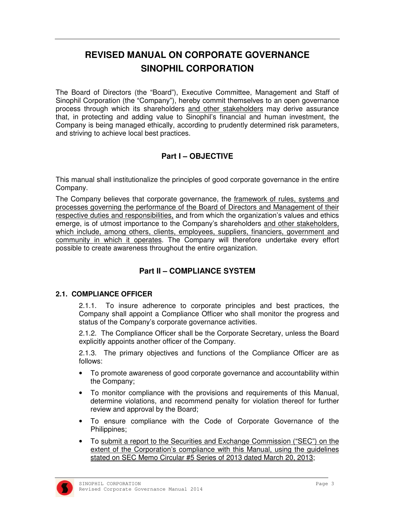### **REVISED MANUAL ON CORPORATE GOVERNANCE SINOPHIL CORPORATION**

The Board of Directors (the "Board"), Executive Committee, Management and Staff of Sinophil Corporation (the "Company"), hereby commit themselves to an open governance process through which its shareholders and other stakeholders may derive assurance that, in protecting and adding value to Sinophil's financial and human investment, the Company is being managed ethically, according to prudently determined risk parameters, and striving to achieve local best practices.

#### **Part I – OBJECTIVE**

This manual shall institutionalize the principles of good corporate governance in the entire Company.

The Company believes that corporate governance, the framework of rules, systems and processes governing the performance of the Board of Directors and Management of their respective duties and responsibilities, and from which the organization's values and ethics emerge, is of utmost importance to the Company's shareholders and other stakeholders, which include, among others, clients, employees, suppliers, financiers, government and community in which it operates. The Company will therefore undertake every effort possible to create awareness throughout the entire organization.

#### **Part II – COMPLIANCE SYSTEM**

#### **2.1. COMPLIANCE OFFICER**

2.1.1. To insure adherence to corporate principles and best practices, the Company shall appoint a Compliance Officer who shall monitor the progress and status of the Company's corporate governance activities.

2.1.2. The Compliance Officer shall be the Corporate Secretary, unless the Board explicitly appoints another officer of the Company.

2.1.3. The primary objectives and functions of the Compliance Officer are as follows:

- To promote awareness of good corporate governance and accountability within the Company;
- To monitor compliance with the provisions and requirements of this Manual, determine violations, and recommend penalty for violation thereof for further review and approval by the Board;
- To ensure compliance with the Code of Corporate Governance of the Philippines;
- To submit a report to the Securities and Exchange Commission ("SEC") on the extent of the Corporation's compliance with this Manual, using the guidelines stated on SEC Memo Circular #5 Series of 2013 dated March 20, 2013;

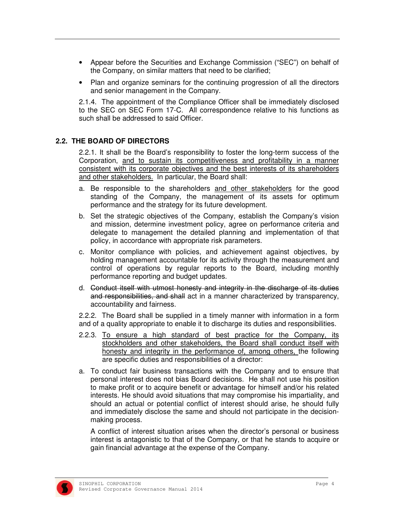- Appear before the Securities and Exchange Commission ("SEC") on behalf of the Company, on similar matters that need to be clarified;
- Plan and organize seminars for the continuing progression of all the directors and senior management in the Company.

2.1.4. The appointment of the Compliance Officer shall be immediately disclosed to the SEC on SEC Form 17-C. All correspondence relative to his functions as such shall be addressed to said Officer.

#### **2.2. THE BOARD OF DIRECTORS**

2.2.1. It shall be the Board's responsibility to foster the long-term success of the Corporation, and to sustain its competitiveness and profitability in a manner consistent with its corporate objectives and the best interests of its shareholders and other stakeholders. In particular, the Board shall:

- a. Be responsible to the shareholders and other stakeholders for the good standing of the Company, the management of its assets for optimum performance and the strategy for its future development.
- b. Set the strategic objectives of the Company, establish the Company's vision and mission, determine investment policy, agree on performance criteria and delegate to management the detailed planning and implementation of that policy, in accordance with appropriate risk parameters.
- c. Monitor compliance with policies, and achievement against objectives, by holding management accountable for its activity through the measurement and control of operations by regular reports to the Board, including monthly performance reporting and budget updates.
- d. Conduct itself with utmost honesty and integrity in the discharge of its duties and responsibilities, and shall act in a manner characterized by transparency, accountability and fairness.

2.2.2. The Board shall be supplied in a timely manner with information in a form and of a quality appropriate to enable it to discharge its duties and responsibilities.

- 2.2.3. To ensure a high standard of best practice for the Company, its stockholders and other stakeholders, the Board shall conduct itself with honesty and integrity in the performance of, among others, the following are specific duties and responsibilities of a director:
- a. To conduct fair business transactions with the Company and to ensure that personal interest does not bias Board decisions. He shall not use his position to make profit or to acquire benefit or advantage for himself and/or his related interests. He should avoid situations that may compromise his impartiality, and should an actual or potential conflict of interest should arise, he should fully and immediately disclose the same and should not participate in the decisionmaking process.

 A conflict of interest situation arises when the director's personal or business interest is antagonistic to that of the Company, or that he stands to acquire or gain financial advantage at the expense of the Company.

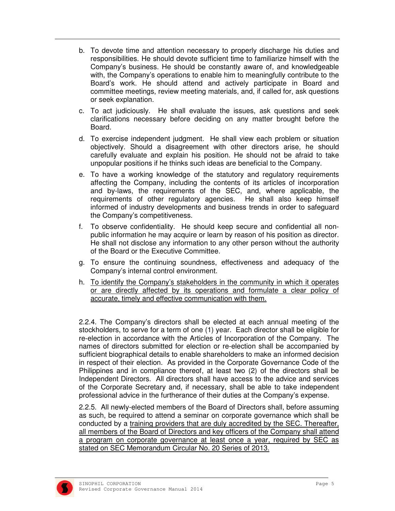- b. To devote time and attention necessary to properly discharge his duties and responsibilities. He should devote sufficient time to familiarize himself with the Company's business. He should be constantly aware of, and knowledgeable with, the Company's operations to enable him to meaningfully contribute to the Board's work. He should attend and actively participate in Board and committee meetings, review meeting materials, and, if called for, ask questions or seek explanation.
- c. To act judiciously. He shall evaluate the issues, ask questions and seek clarifications necessary before deciding on any matter brought before the Board.
- d. To exercise independent judgment. He shall view each problem or situation objectively. Should a disagreement with other directors arise, he should carefully evaluate and explain his position. He should not be afraid to take unpopular positions if he thinks such ideas are beneficial to the Company.
- e. To have a working knowledge of the statutory and regulatory requirements affecting the Company, including the contents of its articles of incorporation and by-laws, the requirements of the SEC, and, where applicable, the requirements of other regulatory agencies. He shall also keep himself informed of industry developments and business trends in order to safeguard the Company's competitiveness.
- f. To observe confidentiality. He should keep secure and confidential all nonpublic information he may acquire or learn by reason of his position as director. He shall not disclose any information to any other person without the authority of the Board or the Executive Committee.
- g. To ensure the continuing soundness, effectiveness and adequacy of the Company's internal control environment.
- h. To identify the Company's stakeholders in the community in which it operates or are directly affected by its operations and formulate a clear policy of accurate, timely and effective communication with them.

 2.2.4. The Company's directors shall be elected at each annual meeting of the stockholders, to serve for a term of one (1) year. Each director shall be eligible for re-election in accordance with the Articles of Incorporation of the Company. The names of directors submitted for election or re-election shall be accompanied by sufficient biographical details to enable shareholders to make an informed decision in respect of their election. As provided in the Corporate Governance Code of the Philippines and in compliance thereof, at least two (2) of the directors shall be Independent Directors. All directors shall have access to the advice and services of the Corporate Secretary and, if necessary, shall be able to take independent professional advice in the furtherance of their duties at the Company's expense.

2.2.5. All newly-elected members of the Board of Directors shall, before assuming as such, be required to attend a seminar on corporate governance which shall be conducted by a training providers that are duly accredited by the SEC. Thereafter, all members of the Board of Directors and key officers of the Company shall attend a program on corporate governance at least once a year, required by SEC as stated on SEC Memorandum Circular No. 20 Series of 2013.

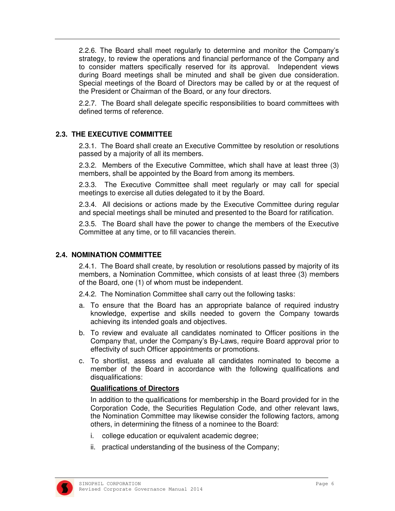2.2.6. The Board shall meet regularly to determine and monitor the Company's strategy, to review the operations and financial performance of the Company and to consider matters specifically reserved for its approval. Independent views during Board meetings shall be minuted and shall be given due consideration. Special meetings of the Board of Directors may be called by or at the request of the President or Chairman of the Board, or any four directors.

 2.2.7. The Board shall delegate specific responsibilities to board committees with defined terms of reference.

#### **2.3. THE EXECUTIVE COMMITTEE**

 2.3.1. The Board shall create an Executive Committee by resolution or resolutions passed by a majority of all its members.

2.3.2. Members of the Executive Committee, which shall have at least three (3) members, shall be appointed by the Board from among its members.

2.3.3. The Executive Committee shall meet regularly or may call for special meetings to exercise all duties delegated to it by the Board.

2.3.4. All decisions or actions made by the Executive Committee during regular and special meetings shall be minuted and presented to the Board for ratification.

2.3.5. The Board shall have the power to change the members of the Executive Committee at any time, or to fill vacancies therein.

#### **2.4. NOMINATION COMMITTEE**

2.4.1. The Board shall create, by resolution or resolutions passed by majority of its members, a Nomination Committee, which consists of at least three (3) members of the Board, one (1) of whom must be independent.

2.4.2. The Nomination Committee shall carry out the following tasks:

- a. To ensure that the Board has an appropriate balance of required industry knowledge, expertise and skills needed to govern the Company towards achieving its intended goals and objectives.
- b. To review and evaluate all candidates nominated to Officer positions in the Company that, under the Company's By-Laws, require Board approval prior to effectivity of such Officer appointments or promotions.
- c. To shortlist, assess and evaluate all candidates nominated to become a member of the Board in accordance with the following qualifications and disqualifications:

#### **Qualifications of Directors**

In addition to the qualifications for membership in the Board provided for in the Corporation Code, the Securities Regulation Code, and other relevant laws, the Nomination Committee may likewise consider the following factors, among others, in determining the fitness of a nominee to the Board:

- i. college education or equivalent academic degree;
- ii. practical understanding of the business of the Company;

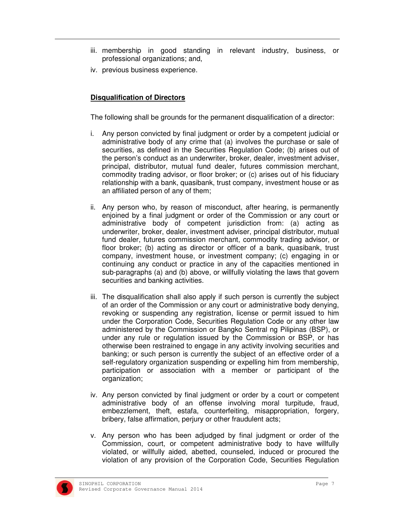- iii. membership in good standing in relevant industry, business, or professional organizations; and,
- iv. previous business experience.

#### **Disqualification of Directors**

The following shall be grounds for the permanent disqualification of a director:

- i. Any person convicted by final judgment or order by a competent judicial or administrative body of any crime that (a) involves the purchase or sale of securities, as defined in the Securities Regulation Code; (b) arises out of the person's conduct as an underwriter, broker, dealer, investment adviser, principal, distributor, mutual fund dealer, futures commission merchant, commodity trading advisor, or floor broker; or (c) arises out of his fiduciary relationship with a bank, quasibank, trust company, investment house or as an affiliated person of any of them;
- ii. Any person who, by reason of misconduct, after hearing, is permanently enjoined by a final judgment or order of the Commission or any court or administrative body of competent jurisdiction from: (a) acting as underwriter, broker, dealer, investment adviser, principal distributor, mutual fund dealer, futures commission merchant, commodity trading advisor, or floor broker; (b) acting as director or officer of a bank, quasibank, trust company, investment house, or investment company; (c) engaging in or continuing any conduct or practice in any of the capacities mentioned in sub-paragraphs (a) and (b) above, or willfully violating the laws that govern securities and banking activities.
- iii. The disqualification shall also apply if such person is currently the subject of an order of the Commission or any court or administrative body denying, revoking or suspending any registration, license or permit issued to him under the Corporation Code, Securities Regulation Code or any other law administered by the Commission or Bangko Sentral ng Pilipinas (BSP), or under any rule or regulation issued by the Commission or BSP, or has otherwise been restrained to engage in any activity involving securities and banking; or such person is currently the subject of an effective order of a self-regulatory organization suspending or expelling him from membership, participation or association with a member or participant of the organization;
- iv. Any person convicted by final judgment or order by a court or competent administrative body of an offense involving moral turpitude, fraud, embezzlement, theft, estafa, counterfeiting, misappropriation, forgery, bribery, false affirmation, perjury or other fraudulent acts;
- v. Any person who has been adjudged by final judgment or order of the Commission, court, or competent administrative body to have willfully violated, or willfully aided, abetted, counseled, induced or procured the violation of any provision of the Corporation Code, Securities Regulation

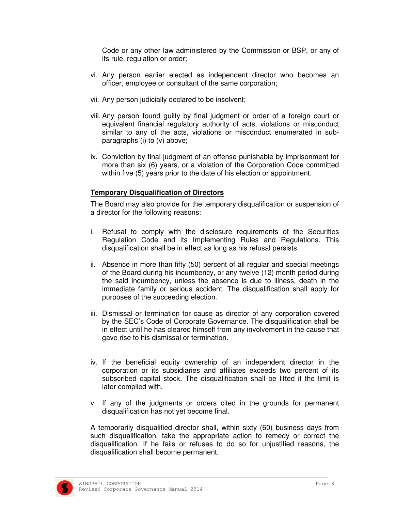Code or any other law administered by the Commission or BSP, or any of its rule, regulation or order;

- vi. Any person earlier elected as independent director who becomes an officer, employee or consultant of the same corporation;
- vii. Any person judicially declared to be insolvent;
- viii. Any person found guilty by final judgment or order of a foreign court or equivalent financial regulatory authority of acts, violations or misconduct similar to any of the acts, violations or misconduct enumerated in subparagraphs (i) to (v) above;
- ix. Conviction by final judgment of an offense punishable by imprisonment for more than six (6) years, or a violation of the Corporation Code committed within five (5) years prior to the date of his election or appointment.

#### **Temporary Disqualification of Directors**

The Board may also provide for the temporary disqualification or suspension of a director for the following reasons:

- i. Refusal to comply with the disclosure requirements of the Securities Regulation Code and its Implementing Rules and Regulations. This disqualification shall be in effect as long as his refusal persists.
- ii. Absence in more than fifty (50) percent of all regular and special meetings of the Board during his incumbency, or any twelve (12) month period during the said incumbency, unless the absence is due to illness, death in the immediate family or serious accident. The disqualification shall apply for purposes of the succeeding election.
- iii. Dismissal or termination for cause as director of any corporation covered by the SEC's Code of Corporate Governance. The disqualification shall be in effect until he has cleared himself from any involvement in the cause that gave rise to his dismissal or termination.
- iv. If the beneficial equity ownership of an independent director in the corporation or its subsidiaries and affiliates exceeds two percent of its subscribed capital stock. The disqualification shall be lifted if the limit is later complied with.
- v. If any of the judgments or orders cited in the grounds for permanent disqualification has not yet become final.

A temporarily disqualified director shall, within sixty (60) business days from such disqualification, take the appropriate action to remedy or correct the disqualification. If he fails or refuses to do so for unjustified reasons, the disqualification shall become permanent.

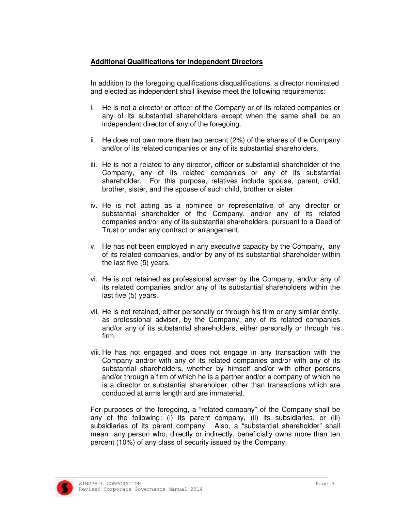#### **Additional Qualifications for Independent Directors**

In addition to the foregoing qualifications disqualifications, a director nominated and elected as independent shall likewise meet the following requirements:

- i. He is not a director or officer of the Company or of its related companies or any of its substantial shareholders except when the same shall be an independent director of any of the foregoing.
- ii. He does not own more than two percent (2%) of the shares of the Company and/or of its related companies or any of its substantial shareholders.
- iii. He is not a related to any director, officer or substantial shareholder of the Company, any of its related companies or any of its substantial shareholder. For this purpose, relatives include spouse, parent, child, brother, sister, and the spouse of such child, brother or sister.
- iv. He is not acting as a nominee or representative of any director or substantial shareholder of the Company, and/or any of its related companies and/or any of its substantial shareholders, pursuant to a Deed of Trust or under any contract or arrangement.
- v. He has not been employed in any executive capacity by the Company, any of its related companies, and/or by any of its substantial shareholder within the last five (5) years.
- vi. He is not retained as professional adviser by the Company, and/or any of its related companies and/or any of its substantial shareholders within the last five (5) years.
- vii. He is not retained, either personally or through his firm or any similar entity, as professional adviser, by the Company, any of its related companies and/or any of its substantial shareholders, either personally or through his firm.
- viii. He has not engaged and does not engage in any transaction with the Company and/or with any of its related companies and/or with any of its substantial shareholders, whether by himself and/or with other persons and/or through a firm of which he is a partner and/or a company of which he is a director or substantial shareholder, other than transactions which are conducted at arms length and are immaterial.

For purposes of the foregoing, a "related company" of the Company shall be any of the following: (i) its parent company, (ii) its subsidiaries, or (iii) subsidiaries of its parent company. Also, a "substantial shareholder" shall mean any person who, directly or indirectly, beneficially owns more than ten percent (10%) of any class of security issued by the Company.

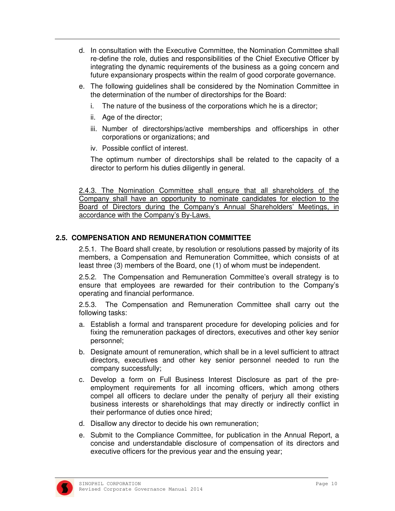- d. In consultation with the Executive Committee, the Nomination Committee shall re-define the role, duties and responsibilities of the Chief Executive Officer by integrating the dynamic requirements of the business as a going concern and future expansionary prospects within the realm of good corporate governance.
- e. The following guidelines shall be considered by the Nomination Committee in the determination of the number of directorships for the Board:
	- i. The nature of the business of the corporations which he is a director;
	- ii. Age of the director;
	- iii. Number of directorships/active memberships and officerships in other corporations or organizations; and
	- iv. Possible conflict of interest.

The optimum number of directorships shall be related to the capacity of a director to perform his duties diligently in general.

2.4.3. The Nomination Committee shall ensure that all shareholders of the Company shall have an opportunity to nominate candidates for election to the Board of Directors during the Company's Annual Shareholders' Meetings, in accordance with the Company's By-Laws.

#### **2.5. COMPENSATION AND REMUNERATION COMMITTEE**

 2.5.1. The Board shall create, by resolution or resolutions passed by majority of its members, a Compensation and Remuneration Committee, which consists of at least three (3) members of the Board, one (1) of whom must be independent.

2.5.2. The Compensation and Remuneration Committee's overall strategy is to ensure that employees are rewarded for their contribution to the Company's operating and financial performance.

2.5.3. The Compensation and Remuneration Committee shall carry out the following tasks:

- a. Establish a formal and transparent procedure for developing policies and for fixing the remuneration packages of directors, executives and other key senior personnel;
- b. Designate amount of remuneration, which shall be in a level sufficient to attract directors, executives and other key senior personnel needed to run the company successfully;
- c. Develop a form on Full Business Interest Disclosure as part of the preemployment requirements for all incoming officers, which among others compel all officers to declare under the penalty of perjury all their existing business interests or shareholdings that may directly or indirectly conflict in their performance of duties once hired;
- d. Disallow any director to decide his own remuneration;
- e. Submit to the Compliance Committee, for publication in the Annual Report, a concise and understandable disclosure of compensation of its directors and executive officers for the previous year and the ensuing year;

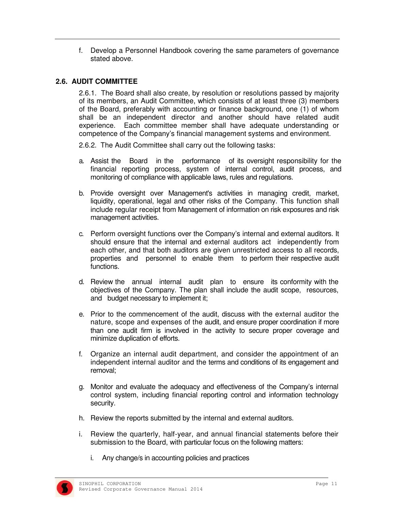f. Develop a Personnel Handbook covering the same parameters of governance stated above.

#### **2.6. AUDIT COMMITTEE**

2.6.1. The Board shall also create, by resolution or resolutions passed by majority of its members, an Audit Committee, which consists of at least three (3) members of the Board, preferably with accounting or finance background, one (1) of whom shall be an independent director and another should have related audit experience. Each committee member shall have adequate understanding or competence of the Company's financial management systems and environment.

2.6.2. The Audit Committee shall carry out the following tasks:

- a. Assist the Board in the performance of its oversight responsibility for the financial reporting process, system of internal control, audit process, and monitoring of compliance with applicable laws, rules and regulations.
- b. Provide oversight over Management's activities in managing credit, market, liquidity, operational, legal and other risks of the Company. This function shall include regular receipt from Management of information on risk exposures and risk management activities.
- c. Perform oversight functions over the Company's internal and external auditors. It should ensure that the internal and external auditors act independently from each other, and that both auditors are given unrestricted access to all records, properties and personnel to enable them to perform their respective audit functions.
- d. Review the annual internal audit plan to ensure its conformity with the objectives of the Company. The plan shall include the audit scope, resources, and budget necessary to implement it;
- e. Prior to the commencement of the audit, discuss with the external auditor the nature, scope and expenses of the audit, and ensure proper coordination if more than one audit firm is involved in the activity to secure proper coverage and minimize duplication of efforts.
- f. Organize an internal audit department, and consider the appointment of an independent internal auditor and the terms and conditions of its engagement and removal;
- g. Monitor and evaluate the adequacy and effectiveness of the Company's internal control system, including financial reporting control and information technology security.
- h. Review the reports submitted by the internal and external auditors.
- i. Review the quarterly, half-year, and annual financial statements before their submission to the Board, with particular focus on the following matters:
	- i. Any change/s in accounting policies and practices

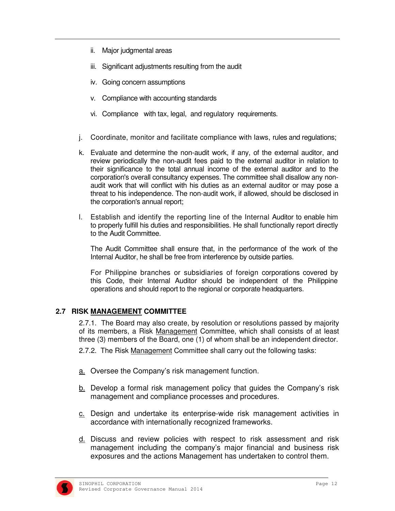- ii. Major judgmental areas
- iii. Significant adjustments resulting from the audit
- iv. Going concern assumptions
- v. Compliance with accounting standards
- vi. Compliance with tax, legal, and regulatory requirements.
- j. Coordinate, monitor and facilitate compliance with laws, rules and regulations;
- k. Evaluate and determine the non-audit work, if any, of the external auditor, and review periodically the non-audit fees paid to the external auditor in relation to their significance to the total annual income of the external auditor and to the corporation's overall consultancy expenses. The committee shall disallow any nonaudit work that will conflict with his duties as an external auditor or may pose a threat to his independence. The non-audit work, if allowed, should be disclosed in the corporation's annual report;
- l. Establish and identify the reporting line of the Internal Auditor to enable him to properly fulfill his duties and responsibilities. He shall functionally report directly to the Audit Committee.

The Audit Committee shall ensure that, in the performance of the work of the Internal Auditor, he shall be free from interference by outside parties.

For Philippine branches or subsidiaries of foreign corporations covered by this Code, their Internal Auditor should be independent of the Philippine operations and should report to the regional or corporate headquarters.

#### **2.7 RISK MANAGEMENT COMMITTEE**

2.7.1. The Board may also create, by resolution or resolutions passed by majority of its members, a Risk Management Committee, which shall consists of at least three (3) members of the Board, one (1) of whom shall be an independent director.

2.7.2. The Risk Management Committee shall carry out the following tasks:

- a. Oversee the Company's risk management function.
- b. Develop a formal risk management policy that guides the Company's risk management and compliance processes and procedures.
- c. Design and undertake its enterprise-wide risk management activities in accordance with internationally recognized frameworks.
- d. Discuss and review policies with respect to risk assessment and risk management including the company's major financial and business risk exposures and the actions Management has undertaken to control them.

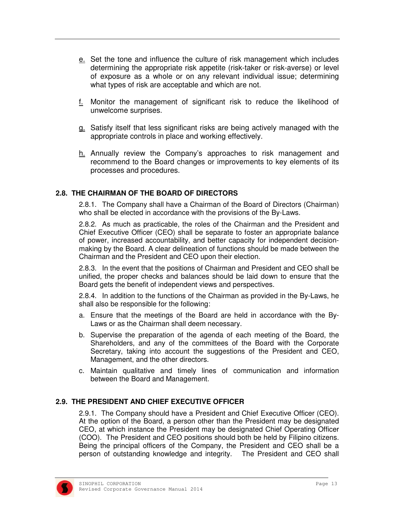- e. Set the tone and influence the culture of risk management which includes determining the appropriate risk appetite (risk-taker or risk-averse) or level of exposure as a whole or on any relevant individual issue; determining what types of risk are acceptable and which are not.
- f. Monitor the management of significant risk to reduce the likelihood of unwelcome surprises.
- g. Satisfy itself that less significant risks are being actively managed with the appropriate controls in place and working effectively.
- h. Annually review the Company's approaches to risk management and recommend to the Board changes or improvements to key elements of its processes and procedures.

#### **2.8. THE CHAIRMAN OF THE BOARD OF DIRECTORS**

2.8.1. The Company shall have a Chairman of the Board of Directors (Chairman) who shall be elected in accordance with the provisions of the By-Laws.

2.8.2. As much as practicable, the roles of the Chairman and the President and Chief Executive Officer (CEO) shall be separate to foster an appropriate balance of power, increased accountability, and better capacity for independent decisionmaking by the Board. A clear delineation of functions should be made between the Chairman and the President and CEO upon their election.

2.8.3. In the event that the positions of Chairman and President and CEO shall be unified, the proper checks and balances should be laid down to ensure that the Board gets the benefit of independent views and perspectives.

2.8.4. In addition to the functions of the Chairman as provided in the By-Laws, he shall also be responsible for the following:

- a. Ensure that the meetings of the Board are held in accordance with the By-Laws or as the Chairman shall deem necessary.
- b. Supervise the preparation of the agenda of each meeting of the Board, the Shareholders, and any of the committees of the Board with the Corporate Secretary, taking into account the suggestions of the President and CEO, Management, and the other directors.
- c. Maintain qualitative and timely lines of communication and information between the Board and Management.

#### **2.9. THE PRESIDENT AND CHIEF EXECUTIVE OFFICER**

2.9.1. The Company should have a President and Chief Executive Officer (CEO). At the option of the Board, a person other than the President may be designated CEO, at which instance the President may be designated Chief Operating Officer (COO). The President and CEO positions should both be held by Filipino citizens. Being the principal officers of the Company, the President and CEO shall be a person of outstanding knowledge and integrity. The President and CEO shall

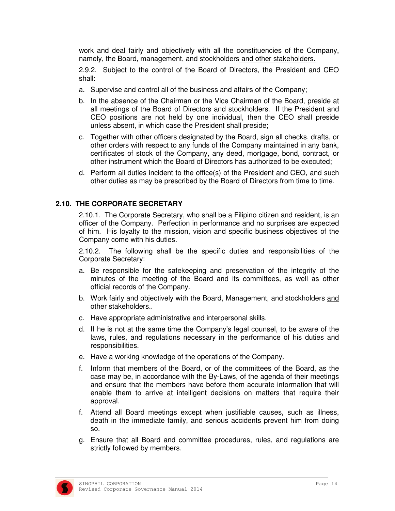work and deal fairly and objectively with all the constituencies of the Company, namely, the Board, management, and stockholders and other stakeholders.

2.9.2. Subject to the control of the Board of Directors, the President and CEO shall:

- a. Supervise and control all of the business and affairs of the Company;
- b. In the absence of the Chairman or the Vice Chairman of the Board, preside at all meetings of the Board of Directors and stockholders. If the President and CEO positions are not held by one individual, then the CEO shall preside unless absent, in which case the President shall preside;
- c. Together with other officers designated by the Board, sign all checks, drafts, or other orders with respect to any funds of the Company maintained in any bank, certificates of stock of the Company, any deed, mortgage, bond, contract, or other instrument which the Board of Directors has authorized to be executed;
- d. Perform all duties incident to the office(s) of the President and CEO, and such other duties as may be prescribed by the Board of Directors from time to time.

#### **2.10. THE CORPORATE SECRETARY**

2.10.1. The Corporate Secretary, who shall be a Filipino citizen and resident, is an officer of the Company. Perfection in performance and no surprises are expected of him. His loyalty to the mission, vision and specific business objectives of the Company come with his duties.

2.10.2. The following shall be the specific duties and responsibilities of the Corporate Secretary:

- a. Be responsible for the safekeeping and preservation of the integrity of the minutes of the meeting of the Board and its committees, as well as other official records of the Company.
- b. Work fairly and objectively with the Board, Management, and stockholders and other stakeholders..
- c. Have appropriate administrative and interpersonal skills.
- d. If he is not at the same time the Company's legal counsel, to be aware of the laws, rules, and regulations necessary in the performance of his duties and responsibilities.
- e. Have a working knowledge of the operations of the Company.
- f. Inform that members of the Board, or of the committees of the Board, as the case may be, in accordance with the By-Laws, of the agenda of their meetings and ensure that the members have before them accurate information that will enable them to arrive at intelligent decisions on matters that require their approval.
- f. Attend all Board meetings except when justifiable causes, such as illness, death in the immediate family, and serious accidents prevent him from doing so.
- g. Ensure that all Board and committee procedures, rules, and regulations are strictly followed by members.

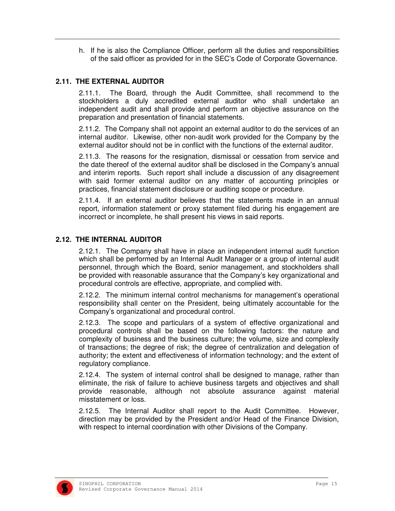h. If he is also the Compliance Officer, perform all the duties and responsibilities of the said officer as provided for in the SEC's Code of Corporate Governance.

#### **2.11. THE EXTERNAL AUDITOR**

2.11.1. The Board, through the Audit Committee, shall recommend to the stockholders a duly accredited external auditor who shall undertake an independent audit and shall provide and perform an objective assurance on the preparation and presentation of financial statements.

2.11.2. The Company shall not appoint an external auditor to do the services of an internal auditor. Likewise, other non-audit work provided for the Company by the external auditor should not be in conflict with the functions of the external auditor.

2.11.3. The reasons for the resignation, dismissal or cessation from service and the date thereof of the external auditor shall be disclosed in the Company's annual and interim reports. Such report shall include a discussion of any disagreement with said former external auditor on any matter of accounting principles or practices, financial statement disclosure or auditing scope or procedure.

2.11.4. If an external auditor believes that the statements made in an annual report, information statement or proxy statement filed during his engagement are incorrect or incomplete, he shall present his views in said reports.

#### **2.12. THE INTERNAL AUDITOR**

2.12.1. The Company shall have in place an independent internal audit function which shall be performed by an Internal Audit Manager or a group of internal audit personnel, through which the Board, senior management, and stockholders shall be provided with reasonable assurance that the Company's key organizational and procedural controls are effective, appropriate, and complied with.

2.12.2. The minimum internal control mechanisms for management's operational responsibility shall center on the President, being ultimately accountable for the Company's organizational and procedural control.

2.12.3. The scope and particulars of a system of effective organizational and procedural controls shall be based on the following factors: the nature and complexity of business and the business culture; the volume, size and complexity of transactions; the degree of risk; the degree of centralization and delegation of authority; the extent and effectiveness of information technology; and the extent of regulatory compliance.

2.12.4. The system of internal control shall be designed to manage, rather than eliminate, the risk of failure to achieve business targets and objectives and shall provide reasonable, although not absolute assurance against material misstatement or loss.

2.12.5. The Internal Auditor shall report to the Audit Committee. However, direction may be provided by the President and/or Head of the Finance Division, with respect to internal coordination with other Divisions of the Company.

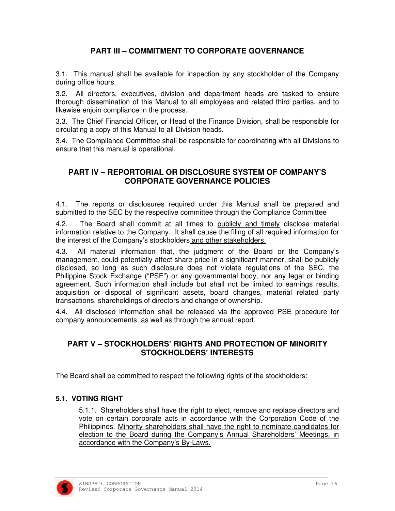#### **PART III – COMMITMENT TO CORPORATE GOVERNANCE**

3.1. This manual shall be available for inspection by any stockholder of the Company during office hours.

3.2. All directors, executives, division and department heads are tasked to ensure thorough dissemination of this Manual to all employees and related third parties, and to likewise enjoin compliance in the process.

3.3. The Chief Financial Officer, or Head of the Finance Division, shall be responsible for circulating a copy of this Manual to all Division heads.

3.4. The Compliance Committee shall be responsible for coordinating with all Divisions to ensure that this manual is operational.

#### **PART IV – REPORTORIAL OR DISCLOSURE SYSTEM OF COMPANY'S CORPORATE GOVERNANCE POLICIES**

4.1. The reports or disclosures required under this Manual shall be prepared and submitted to the SEC by the respective committee through the Compliance Committee

4.2. The Board shall commit at all times to publicly and timely disclose material information relative to the Company. It shall cause the filing of all required information for the interest of the Company's stockholders and other stakeholders.

4.3. All material information that, the judgment of the Board or the Company's management, could potentially affect share price in a significant manner, shall be publicly disclosed, so long as such disclosure does not violate regulations of the SEC, the Philippine Stock Exchange ("PSE") or any governmental body, nor any legal or binding agreement. Such information shall include but shall not be limited to earnings results, acquisition or disposal of significant assets, board changes, material related party transactions, shareholdings of directors and change of ownership.

4.4. All disclosed information shall be released via the approved PSE procedure for company announcements, as well as through the annual report.

#### **PART V – STOCKHOLDERS' RIGHTS AND PROTECTION OF MINORITY STOCKHOLDERS' INTERESTS**

The Board shall be committed to respect the following rights of the stockholders:

#### **5.1. VOTING RIGHT**

5.1.1. Shareholders shall have the right to elect, remove and replace directors and vote on certain corporate acts in accordance with the Corporation Code of the Philippines. Minority shareholders shall have the right to nominate candidates for election to the Board during the Company's Annual Shareholders' Meetings, in accordance with the Company's By-Laws.

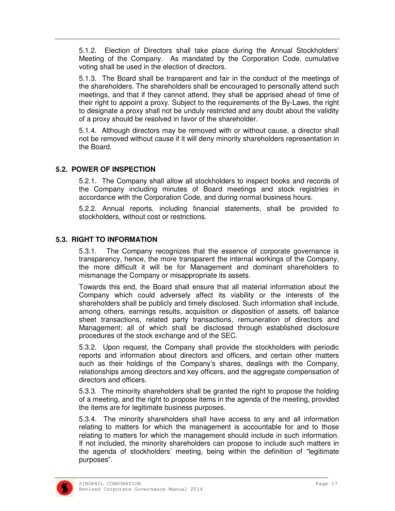5.1.2. Election of Directors shall take place during the Annual Stockholders' Meeting of the Company. As mandated by the Corporation Code, cumulative voting shall be used in the election of directors.

5.1.3. The Board shall be transparent and fair in the conduct of the meetings of the shareholders. The shareholders shall be encouraged to personally attend such meetings, and that if they cannot attend, they shall be apprised ahead of time of their right to appoint a proxy. Subject to the requirements of the By-Laws, the right to designate a proxy shall not be unduly restricted and any doubt about the validity of a proxy should be resolved in favor of the shareholder.

5.1.4. Although directors may be removed with or without cause, a director shall not be removed without cause if it will deny minority shareholders representation in the Board.

#### **5.2. POWER OF INSPECTION**

5.2.1. The Company shall allow all stockholders to inspect books and records of the Company including minutes of Board meetings and stock registries in accordance with the Corporation Code, and during normal business hours.

5.2.2. Annual reports, including financial statements, shall be provided to stockholders, without cost or restrictions.

#### **5.3. RIGHT TO INFORMATION**

5.3.1. The Company recognizes that the essence of corporate governance is transparency, hence, the more transparent the internal workings of the Company, the more difficult it will be for Management and dominant shareholders to mismanage the Company or misappropriate its assets.

Towards this end, the Board shall ensure that all material information about the Company which could adversely affect its viability or the interests of the shareholders shall be publicly and timely disclosed. Such information shall include, among others, earnings results, acquisition or disposition of assets, off balance sheet transactions, related party transactions, remuneration of directors and Management; all of which shall be disclosed through established disclosure procedures of the stock exchange and of the SEC.

5.3.2. Upon request, the Company shall provide the stockholders with periodic reports and information about directors and officers, and certain other matters such as their holdings of the Company's shares, dealings with the Company, relationships among directors and key officers, and the aggregate compensation of directors and officers.

5.3.3. The minority shareholders shall be granted the right to propose the holding of a meeting, and the right to propose items in the agenda of the meeting, provided the items are for legitimate business purposes.

5.3.4. The minority shareholders shall have access to any and all information relating to matters for which the management is accountable for and to those relating to matters for which the management should include in such information. If not included, the minority shareholders can propose to include such matters in the agenda of stockholders' meeting, being within the definition of "legitimate purposes".

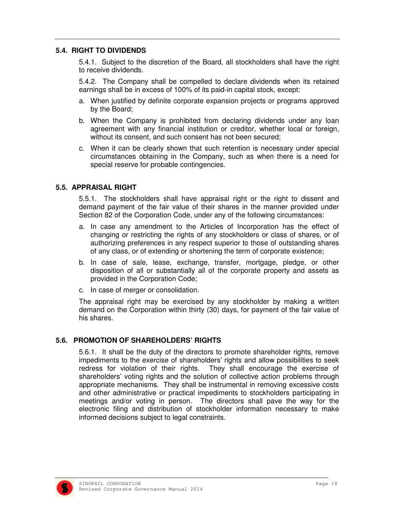#### **5.4. RIGHT TO DIVIDENDS**

5.4.1. Subject to the discretion of the Board, all stockholders shall have the right to receive dividends.

5.4.2. The Company shall be compelled to declare dividends when its retained earnings shall be in excess of 100% of its paid-in capital stock, except:

- a. When justified by definite corporate expansion projects or programs approved by the Board;
- b. When the Company is prohibited from declaring dividends under any loan agreement with any financial institution or creditor, whether local or foreign, without its consent, and such consent has not been secured;
- c. When it can be clearly shown that such retention is necessary under special circumstances obtaining in the Company, such as when there is a need for special reserve for probable contingencies.

#### **5.5. APPRAISAL RIGHT**

5.5.1. The stockholders shall have appraisal right or the right to dissent and demand payment of the fair value of their shares in the manner provided under Section 82 of the Corporation Code, under any of the following circumstances:

- a. In case any amendment to the Articles of Incorporation has the effect of changing or restricting the rights of any stockholders or class of shares, or of authorizing preferences in any respect superior to those of outstanding shares of any class, or of extending or shortening the term of corporate existence;
- b. In case of sale, lease, exchange, transfer, mortgage, pledge, or other disposition of all or substantially all of the corporate property and assets as provided in the Corporation Code;
- c. In case of merger or consolidation.

The appraisal right may be exercised by any stockholder by making a written demand on the Corporation within thirty (30) days, for payment of the fair value of his shares.

#### **5.6. PROMOTION OF SHAREHOLDERS' RIGHTS**

5.6.1. It shall be the duty of the directors to promote shareholder rights, remove impediments to the exercise of shareholders' rights and allow possibilities to seek redress for violation of their rights. They shall encourage the exercise of shareholders' voting rights and the solution of collective action problems through appropriate mechanisms. They shall be instrumental in removing excessive costs and other administrative or practical impediments to stockholders participating in meetings and/or voting in person. The directors shall pave the way for the electronic filing and distribution of stockholder information necessary to make informed decisions subject to legal constraints.